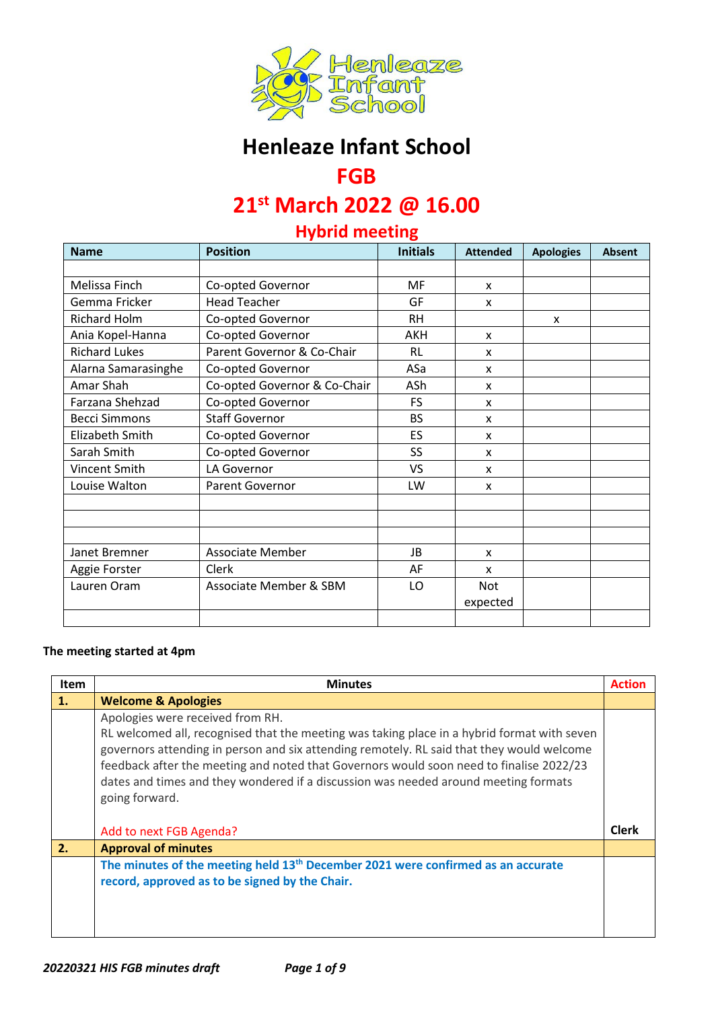

# **Henleaze Infant School**

## **FGB**

# **21st March 2022 @ 16.00**

## **Hybrid meeting**

| <b>Name</b>          | <b>Position</b>              | <b>Initials</b> | <b>Attended</b> | <b>Apologies</b>          | <b>Absent</b> |
|----------------------|------------------------------|-----------------|-----------------|---------------------------|---------------|
|                      |                              |                 |                 |                           |               |
| Melissa Finch        | Co-opted Governor            | <b>MF</b>       | X               |                           |               |
| Gemma Fricker        | <b>Head Teacher</b>          | GF              | X               |                           |               |
| <b>Richard Holm</b>  | Co-opted Governor            | <b>RH</b>       |                 | $\boldsymbol{\mathsf{x}}$ |               |
| Ania Kopel-Hanna     | Co-opted Governor            | <b>AKH</b>      | X               |                           |               |
| <b>Richard Lukes</b> | Parent Governor & Co-Chair   | <b>RL</b>       | X               |                           |               |
| Alarna Samarasinghe  | Co-opted Governor            | ASa             | X               |                           |               |
| Amar Shah            | Co-opted Governor & Co-Chair | ASh             | X               |                           |               |
| Farzana Shehzad      | Co-opted Governor            | <b>FS</b>       | X               |                           |               |
| <b>Becci Simmons</b> | <b>Staff Governor</b>        | <b>BS</b>       | X               |                           |               |
| Elizabeth Smith      | Co-opted Governor            | ES              | X               |                           |               |
| Sarah Smith          | Co-opted Governor            | SS              | X               |                           |               |
| Vincent Smith        | LA Governor                  | <b>VS</b>       | X               |                           |               |
| Louise Walton        | Parent Governor              | LW              | X               |                           |               |
|                      |                              |                 |                 |                           |               |
|                      |                              |                 |                 |                           |               |
|                      |                              |                 |                 |                           |               |
| Janet Bremner        | Associate Member             | <b>JB</b>       | X               |                           |               |
| Aggie Forster        | Clerk                        | AF              | X               |                           |               |
| Lauren Oram          | Associate Member & SBM       | LO              | Not             |                           |               |
|                      |                              |                 | expected        |                           |               |
|                      |                              |                 |                 |                           |               |

#### **The meeting started at 4pm**

| <b>Item</b> | <b>Minutes</b>                                                                                                                                                                                                                                                                                                                                                                                                                   | <b>Action</b> |
|-------------|----------------------------------------------------------------------------------------------------------------------------------------------------------------------------------------------------------------------------------------------------------------------------------------------------------------------------------------------------------------------------------------------------------------------------------|---------------|
| 1.          | <b>Welcome &amp; Apologies</b>                                                                                                                                                                                                                                                                                                                                                                                                   |               |
|             | Apologies were received from RH.<br>RL welcomed all, recognised that the meeting was taking place in a hybrid format with seven<br>governors attending in person and six attending remotely. RL said that they would welcome<br>feedback after the meeting and noted that Governors would soon need to finalise 2022/23<br>dates and times and they wondered if a discussion was needed around meeting formats<br>going forward. |               |
|             | Add to next FGB Agenda?                                                                                                                                                                                                                                                                                                                                                                                                          | <b>Clerk</b>  |
| 2.          | <b>Approval of minutes</b>                                                                                                                                                                                                                                                                                                                                                                                                       |               |
|             | The minutes of the meeting held 13 <sup>th</sup> December 2021 were confirmed as an accurate<br>record, approved as to be signed by the Chair.                                                                                                                                                                                                                                                                                   |               |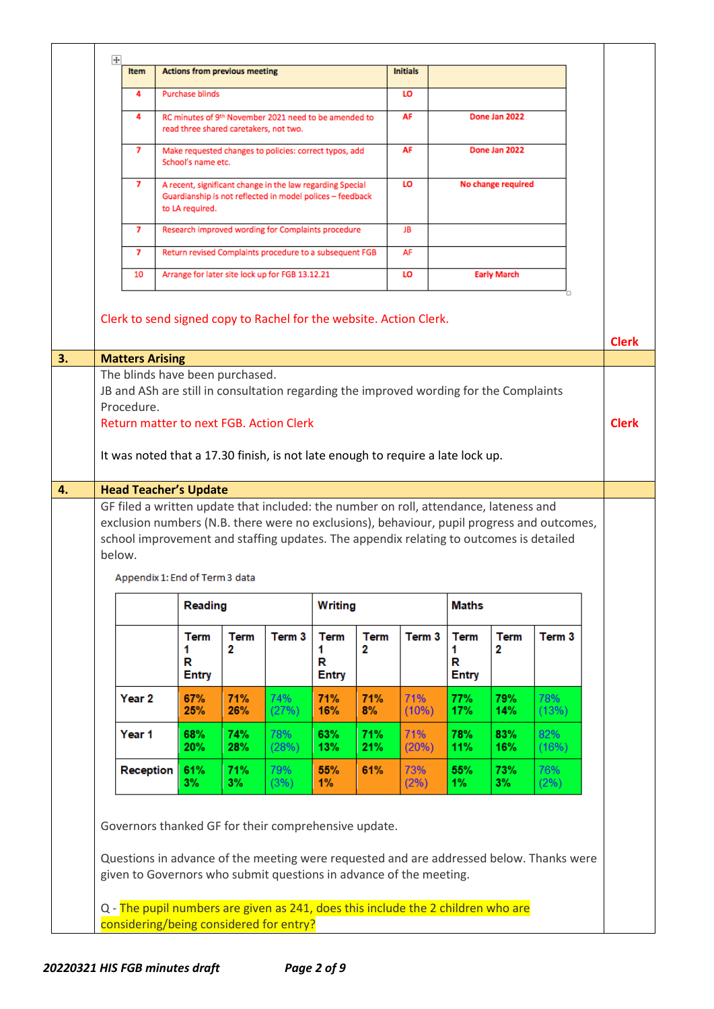|        | <b>Item</b><br>4<br>4<br>7<br>7<br>7<br>7     | <b>Actions from previous meeting</b><br><b>Purchase blinds</b><br>read three shared caretakers, not two.<br>School's name etc.<br>Guardianship is not reflected in model polices - feedback<br>to LA required. |                                        | RC minutes of 9th November 2021 need to be amended to<br>Make requested changes to policies: correct typos, add<br>A recent, significant change in the law regarding Special         |                                       |                  | <b>Initials</b><br>LO<br>AF<br>AF |                                       | Done Jan 2022<br>Done Jan 2022 |                   |              |
|--------|-----------------------------------------------|----------------------------------------------------------------------------------------------------------------------------------------------------------------------------------------------------------------|----------------------------------------|--------------------------------------------------------------------------------------------------------------------------------------------------------------------------------------|---------------------------------------|------------------|-----------------------------------|---------------------------------------|--------------------------------|-------------------|--------------|
|        |                                               |                                                                                                                                                                                                                |                                        |                                                                                                                                                                                      |                                       |                  |                                   |                                       |                                |                   |              |
|        |                                               |                                                                                                                                                                                                                |                                        |                                                                                                                                                                                      |                                       |                  |                                   |                                       |                                |                   |              |
|        |                                               |                                                                                                                                                                                                                |                                        |                                                                                                                                                                                      |                                       |                  |                                   |                                       |                                |                   |              |
|        |                                               |                                                                                                                                                                                                                |                                        |                                                                                                                                                                                      |                                       |                  |                                   |                                       |                                |                   |              |
|        |                                               |                                                                                                                                                                                                                |                                        |                                                                                                                                                                                      |                                       |                  | <b>LO</b>                         |                                       | No change required             |                   |              |
|        |                                               |                                                                                                                                                                                                                |                                        | Research improved wording for Complaints procedure                                                                                                                                   |                                       |                  | JB                                |                                       |                                |                   |              |
|        |                                               |                                                                                                                                                                                                                |                                        | Return revised Complaints procedure to a subsequent FGB                                                                                                                              |                                       |                  | AF                                |                                       |                                |                   |              |
|        | 10                                            |                                                                                                                                                                                                                |                                        | Arrange for later site lock up for FGB 13.12.21                                                                                                                                      |                                       |                  | LO                                |                                       | <b>Early March</b>             |                   |              |
|        |                                               |                                                                                                                                                                                                                |                                        | Clerk to send signed copy to Rachel for the website. Action Clerk.                                                                                                                   |                                       |                  |                                   |                                       |                                |                   | <b>Clerk</b> |
|        | <b>Matters Arising</b>                        |                                                                                                                                                                                                                |                                        |                                                                                                                                                                                      |                                       |                  |                                   |                                       |                                |                   |              |
|        | The blinds have been purchased.<br>Procedure. |                                                                                                                                                                                                                |                                        | JB and ASh are still in consultation regarding the improved wording for the Complaints<br>Return matter to next FGB. Action Clerk                                                    |                                       |                  |                                   |                                       |                                |                   | <b>Clerk</b> |
|        |                                               |                                                                                                                                                                                                                |                                        | It was noted that a 17.30 finish, is not late enough to require a late lock up.                                                                                                      |                                       |                  |                                   |                                       |                                |                   |              |
|        | <b>Head Teacher's Update</b>                  |                                                                                                                                                                                                                |                                        |                                                                                                                                                                                      |                                       |                  |                                   |                                       |                                |                   |              |
| below. | Appendix 1: End of Term 3 data                | Reading                                                                                                                                                                                                        |                                        | exclusion numbers (N.B. there were no exclusions), behaviour, pupil progress and outcomes,<br>school improvement and staffing updates. The appendix relating to outcomes is detailed | <b>Writing</b>                        |                  |                                   | <b>Maths</b>                          |                                |                   |              |
|        |                                               |                                                                                                                                                                                                                |                                        |                                                                                                                                                                                      |                                       |                  |                                   |                                       |                                |                   |              |
|        |                                               | <b>Term</b><br>1.<br>R<br>Entry                                                                                                                                                                                | <b>Term</b><br>$\overline{\mathbf{2}}$ | Term 3                                                                                                                                                                               | <b>Term</b><br>1<br>R<br><b>Entry</b> | <b>Term</b><br>2 | Term 3                            | <b>Term</b><br>1<br>R<br><b>Entry</b> | <b>Term</b><br>2               | Term <sub>3</sub> |              |
|        | Year <sub>2</sub>                             | 67%<br>25%                                                                                                                                                                                                     | 71%<br>26%                             | 74%<br>(27%)                                                                                                                                                                         | 71%<br>16%                            | 71%<br>8%        | 71%<br>(10%)                      | 77%<br>17%                            | <b>79%</b><br>14%              | 78%<br>(13%)      |              |
|        | Year 1                                        | 68%<br>20%                                                                                                                                                                                                     | 74%<br>28%                             | 78%<br>(28%)                                                                                                                                                                         | 63%<br>13%                            | 71%<br>21%       | 71%<br>(20%)                      | 78%<br>11%                            | 83%<br>16%                     | 82%<br>(16%)      |              |
|        | Reception                                     | 61%<br>3%                                                                                                                                                                                                      | 71%<br>3%                              | 79%<br>(3%)                                                                                                                                                                          | 55%<br>1%                             | 61%              | 73%<br>(2%)                       | 55%<br>$1\%$                          | 73%<br>3%                      | 76%<br>(2%)       |              |
|        |                                               |                                                                                                                                                                                                                |                                        |                                                                                                                                                                                      |                                       |                  |                                   |                                       |                                |                   |              |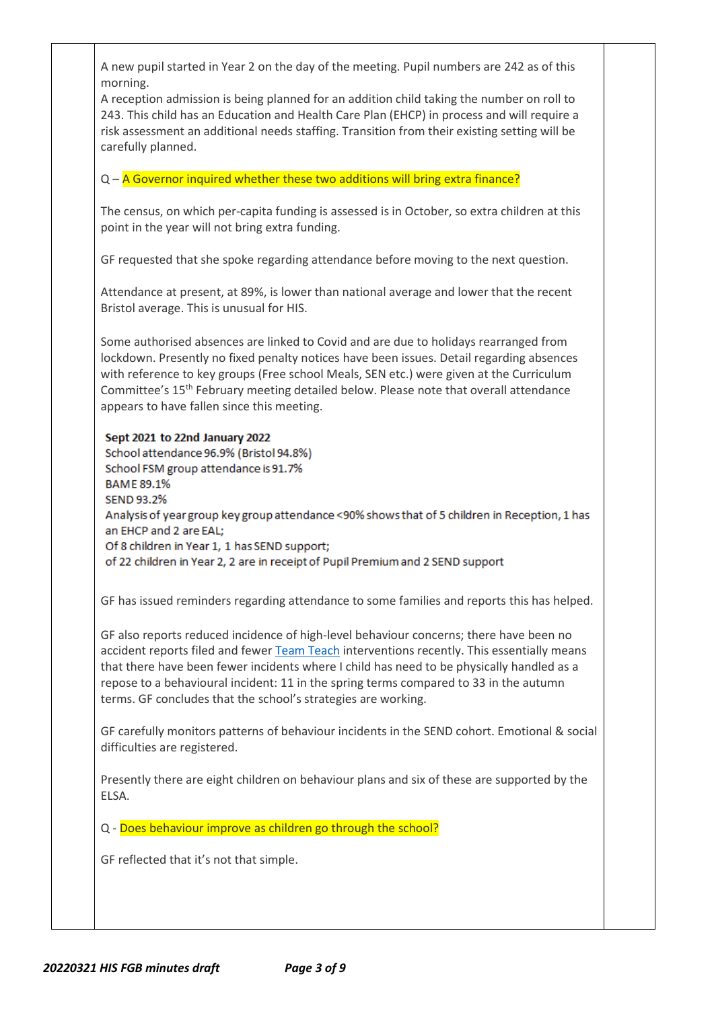A new pupil started in Year 2 on the day of the meeting. Pupil numbers are 242 as of this morning.

A reception admission is being planned for an addition child taking the number on roll to 243. This child has an Education and Health Care Plan (EHCP) in process and will require a risk assessment an additional needs staffing. Transition from their existing setting will be carefully planned.

 $Q - A$  Governor inquired whether these two additions will bring extra finance?

The census, on which per-capita funding is assessed is in October, so extra children at this point in the year will not bring extra funding.

GF requested that she spoke regarding attendance before moving to the next question.

Attendance at present, at 89%, is lower than national average and lower that the recent Bristol average. This is unusual for HIS.

Some authorised absences are linked to Covid and are due to holidays rearranged from lockdown. Presently no fixed penalty notices have been issues. Detail regarding absences with reference to key groups (Free school Meals, SEN etc.) were given at the Curriculum Committee's 15th February meeting detailed below. Please note that overall attendance appears to have fallen since this meeting.

#### Sept 2021 to 22nd January 2022

School attendance 96.9% (Bristol 94.8%) School FSM group attendance is 91.7% **BAME 89.1% SEND 93.2%** Analysis of year group key group attendance <90% shows that of 5 children in Reception, 1 has an EHCP and 2 are EAL; Of 8 children in Year 1, 1 has SEND support; of 22 children in Year 2, 2 are in receipt of Pupil Premium and 2 SEND support

GF has issued reminders regarding attendance to some families and reports this has helped.

GF also reports reduced incidence of high-level behaviour concerns; there have been no accident reports filed and fewe[r Team Teach](https://www.teamteach.co.uk/) interventions recently. This essentially means that there have been fewer incidents where I child has need to be physically handled as a repose to a behavioural incident: 11 in the spring terms compared to 33 in the autumn terms. GF concludes that the school's strategies are working.

GF carefully monitors patterns of behaviour incidents in the SEND cohort. Emotional & social difficulties are registered.

Presently there are eight children on behaviour plans and six of these are supported by the ELSA.

Q - Does behaviour improve as children go through the school?

GF reflected that it's not that simple.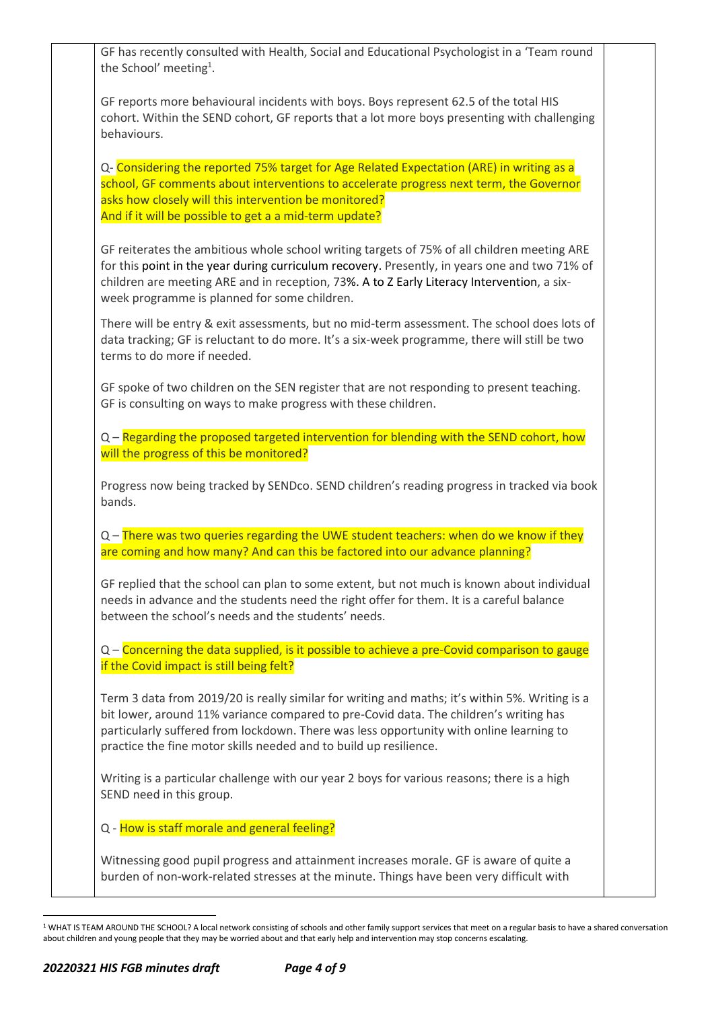| the School' meeting <sup>1</sup> . | GF has recently consulted with Health, Social and Educational Psychologist in a 'Team round                                                                                                                                                                                                                                                             |
|------------------------------------|---------------------------------------------------------------------------------------------------------------------------------------------------------------------------------------------------------------------------------------------------------------------------------------------------------------------------------------------------------|
| behaviours.                        | GF reports more behavioural incidents with boys. Boys represent 62.5 of the total HIS<br>cohort. Within the SEND cohort, GF reports that a lot more boys presenting with challenging                                                                                                                                                                    |
|                                    | Q- Considering the reported 75% target for Age Related Expectation (ARE) in writing as a<br>school, GF comments about interventions to accelerate progress next term, the Governor<br>asks how closely will this intervention be monitored?<br>And if it will be possible to get a a mid-term update?                                                   |
|                                    | GF reiterates the ambitious whole school writing targets of 75% of all children meeting ARE<br>for this point in the year during curriculum recovery. Presently, in years one and two 71% of<br>children are meeting ARE and in reception, 73%. A to Z Early Literacy Intervention, a six-<br>week programme is planned for some children.              |
|                                    | There will be entry & exit assessments, but no mid-term assessment. The school does lots of<br>data tracking; GF is reluctant to do more. It's a six-week programme, there will still be two<br>terms to do more if needed.                                                                                                                             |
|                                    | GF spoke of two children on the SEN register that are not responding to present teaching.<br>GF is consulting on ways to make progress with these children.                                                                                                                                                                                             |
|                                    | Q - Regarding the proposed targeted intervention for blending with the SEND cohort, how<br>will the progress of this be monitored?                                                                                                                                                                                                                      |
| bands.                             | Progress now being tracked by SENDco. SEND children's reading progress in tracked via book                                                                                                                                                                                                                                                              |
|                                    | Q - There was two queries regarding the UWE student teachers: when do we know if they                                                                                                                                                                                                                                                                   |
|                                    | are coming and how many? And can this be factored into our advance planning?                                                                                                                                                                                                                                                                            |
|                                    | GF replied that the school can plan to some extent, but not much is known about individual<br>needs in advance and the students need the right offer for them. It is a careful balance<br>between the school's needs and the students' needs.                                                                                                           |
|                                    | Q - Concerning the data supplied, is it possible to achieve a pre-Covid comparison to gauge                                                                                                                                                                                                                                                             |
|                                    | if the Covid impact is still being felt?                                                                                                                                                                                                                                                                                                                |
|                                    | Term 3 data from 2019/20 is really similar for writing and maths; it's within 5%. Writing is a<br>bit lower, around 11% variance compared to pre-Covid data. The children's writing has<br>particularly suffered from lockdown. There was less opportunity with online learning to<br>practice the fine motor skills needed and to build up resilience. |
| SEND need in this group.           | Writing is a particular challenge with our year 2 boys for various reasons; there is a high                                                                                                                                                                                                                                                             |
|                                    | Q - How is staff morale and general feeling?                                                                                                                                                                                                                                                                                                            |
|                                    |                                                                                                                                                                                                                                                                                                                                                         |
|                                    | Witnessing good pupil progress and attainment increases morale. GF is aware of quite a<br>burden of non-work-related stresses at the minute. Things have been very difficult with                                                                                                                                                                       |

<sup>&</sup>lt;sup>1</sup> WHAT IS TEAM AROUND THE SCHOOL? A local network consisting of schools and other family support services that meet on a regular basis to have a shared conversation about children and young people that they may be worried about and that early help and intervention may stop concerns escalating.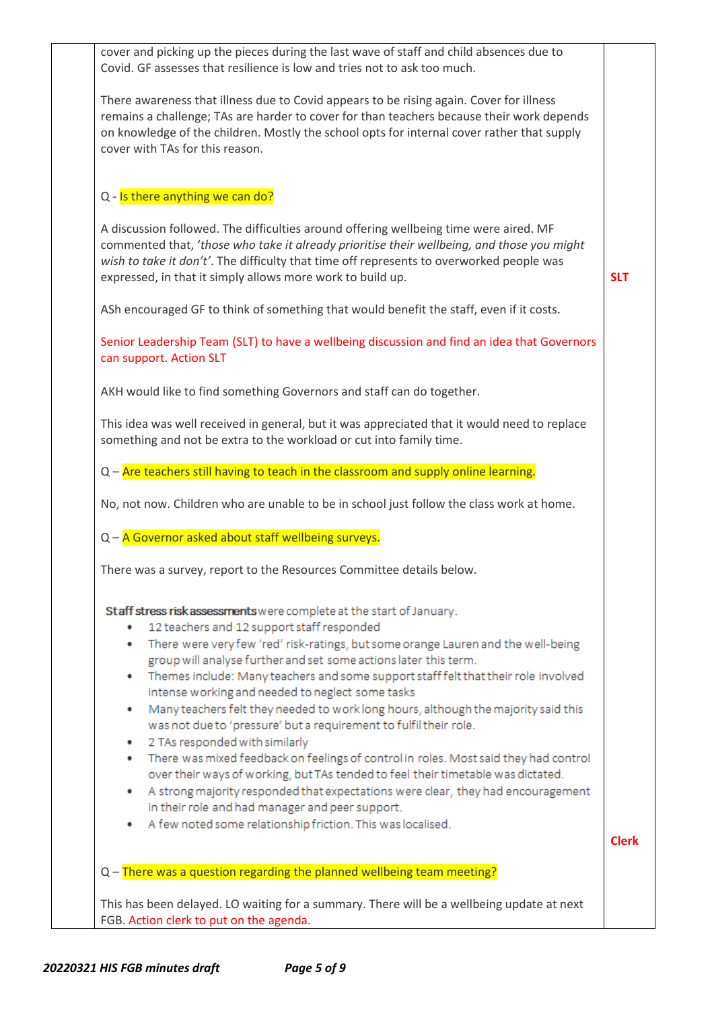| cover and picking up the pieces during the last wave of staff and child absences due to<br>Covid. GF assesses that resilience is low and tries not to ask too much.                                                                                                                                                                           |              |
|-----------------------------------------------------------------------------------------------------------------------------------------------------------------------------------------------------------------------------------------------------------------------------------------------------------------------------------------------|--------------|
| There awareness that illness due to Covid appears to be rising again. Cover for illness<br>remains a challenge; TAs are harder to cover for than teachers because their work depends<br>on knowledge of the children. Mostly the school opts for internal cover rather that supply<br>cover with TAs for this reason.                         |              |
| Q - Is there anything we can do?                                                                                                                                                                                                                                                                                                              |              |
| A discussion followed. The difficulties around offering wellbeing time were aired. MF<br>commented that, 'those who take it already prioritise their wellbeing, and those you might<br>wish to take it don't'. The difficulty that time off represents to overworked people was<br>expressed, in that it simply allows more work to build up. | <b>SLT</b>   |
| ASh encouraged GF to think of something that would benefit the staff, even if it costs.                                                                                                                                                                                                                                                       |              |
| Senior Leadership Team (SLT) to have a wellbeing discussion and find an idea that Governors<br>can support. Action SLT                                                                                                                                                                                                                        |              |
| AKH would like to find something Governors and staff can do together.                                                                                                                                                                                                                                                                         |              |
| This idea was well received in general, but it was appreciated that it would need to replace<br>something and not be extra to the workload or cut into family time.                                                                                                                                                                           |              |
| Q - Are teachers still having to teach in the classroom and supply online learning.                                                                                                                                                                                                                                                           |              |
| No, not now. Children who are unable to be in school just follow the class work at home.                                                                                                                                                                                                                                                      |              |
| Q - A Governor asked about staff wellbeing surveys.                                                                                                                                                                                                                                                                                           |              |
| There was a survey, report to the Resources Committee details below.                                                                                                                                                                                                                                                                          |              |
| Staff stress risk assessments were complete at the start of January.<br>12 teachers and 12 support staff responded                                                                                                                                                                                                                            |              |
| There were very few 'red' risk-ratings, but some orange Lauren and the well-being<br>۰<br>group will analyse further and set some actions later this term.<br>Themes include: Many teachers and some support staff felt that their role involved                                                                                              |              |
| intense working and needed to neglect some tasks<br>Many teachers felt they needed to work long hours, although the majority said this                                                                                                                                                                                                        |              |
| was not due to 'pressure' but a requirement to fulfil their role.<br>2 TAs responded with similarly<br>٠                                                                                                                                                                                                                                      |              |
| • There was mixed feedback on feelings of control in roles. Most said they had control<br>over their ways of working, but TAs tended to feel their timetable was dictated.                                                                                                                                                                    |              |
| A strong majority responded that expectations were clear, they had encouragement<br>in their role and had manager and peer support.<br>A few noted some relationship friction. This was localised.                                                                                                                                            |              |
|                                                                                                                                                                                                                                                                                                                                               | <b>Clerk</b> |
| Q - There was a question regarding the planned wellbeing team meeting?                                                                                                                                                                                                                                                                        |              |
| This has been delayed. LO waiting for a summary. There will be a wellbeing update at next<br>FGB. Action clerk to put on the agenda.                                                                                                                                                                                                          |              |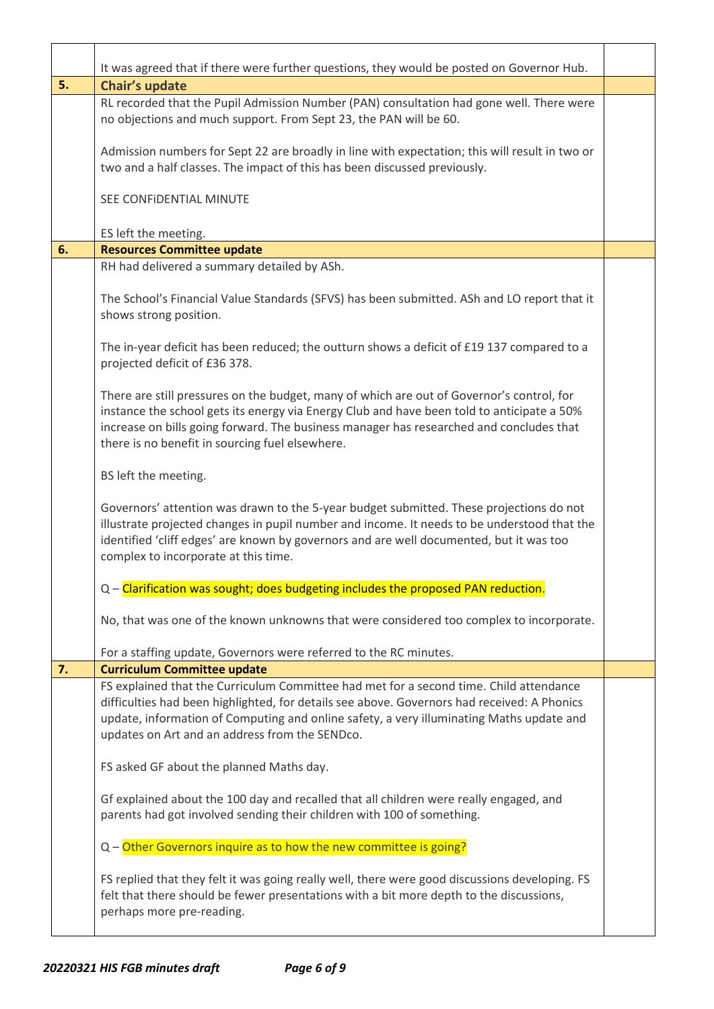|    | It was agreed that if there were further questions, they would be posted on Governor Hub.                                                                                                                                                                                                                                             |  |
|----|---------------------------------------------------------------------------------------------------------------------------------------------------------------------------------------------------------------------------------------------------------------------------------------------------------------------------------------|--|
| 5. | Chair's update                                                                                                                                                                                                                                                                                                                        |  |
|    | RL recorded that the Pupil Admission Number (PAN) consultation had gone well. There were<br>no objections and much support. From Sept 23, the PAN will be 60.                                                                                                                                                                         |  |
|    | Admission numbers for Sept 22 are broadly in line with expectation; this will result in two or<br>two and a half classes. The impact of this has been discussed previously.                                                                                                                                                           |  |
|    | SEE CONFIDENTIAL MINUTE                                                                                                                                                                                                                                                                                                               |  |
|    | ES left the meeting.                                                                                                                                                                                                                                                                                                                  |  |
| 6. | <b>Resources Committee update</b>                                                                                                                                                                                                                                                                                                     |  |
|    | RH had delivered a summary detailed by ASh.                                                                                                                                                                                                                                                                                           |  |
|    | The School's Financial Value Standards (SFVS) has been submitted. ASh and LO report that it<br>shows strong position.                                                                                                                                                                                                                 |  |
|    | The in-year deficit has been reduced; the outturn shows a deficit of £19 137 compared to a<br>projected deficit of £36 378.                                                                                                                                                                                                           |  |
|    | There are still pressures on the budget, many of which are out of Governor's control, for<br>instance the school gets its energy via Energy Club and have been told to anticipate a 50%<br>increase on bills going forward. The business manager has researched and concludes that<br>there is no benefit in sourcing fuel elsewhere. |  |
|    | BS left the meeting.                                                                                                                                                                                                                                                                                                                  |  |
|    | Governors' attention was drawn to the 5-year budget submitted. These projections do not<br>illustrate projected changes in pupil number and income. It needs to be understood that the<br>identified 'cliff edges' are known by governors and are well documented, but it was too<br>complex to incorporate at this time.             |  |
|    | Q – Clarification was sought; does budgeting includes the proposed PAN reduction.                                                                                                                                                                                                                                                     |  |
|    | No, that was one of the known unknowns that were considered too complex to incorporate.                                                                                                                                                                                                                                               |  |
|    | For a staffing update, Governors were referred to the RC minutes.                                                                                                                                                                                                                                                                     |  |
| 7. | <b>Curriculum Committee update</b>                                                                                                                                                                                                                                                                                                    |  |
|    | FS explained that the Curriculum Committee had met for a second time. Child attendance<br>difficulties had been highlighted, for details see above. Governors had received: A Phonics<br>update, information of Computing and online safety, a very illuminating Maths update and<br>updates on Art and an address from the SENDco.   |  |
|    | FS asked GF about the planned Maths day.                                                                                                                                                                                                                                                                                              |  |
|    | Gf explained about the 100 day and recalled that all children were really engaged, and<br>parents had got involved sending their children with 100 of something.                                                                                                                                                                      |  |
|    | Q - Other Governors inquire as to how the new committee is going?                                                                                                                                                                                                                                                                     |  |
|    | FS replied that they felt it was going really well, there were good discussions developing. FS<br>felt that there should be fewer presentations with a bit more depth to the discussions,<br>perhaps more pre-reading.                                                                                                                |  |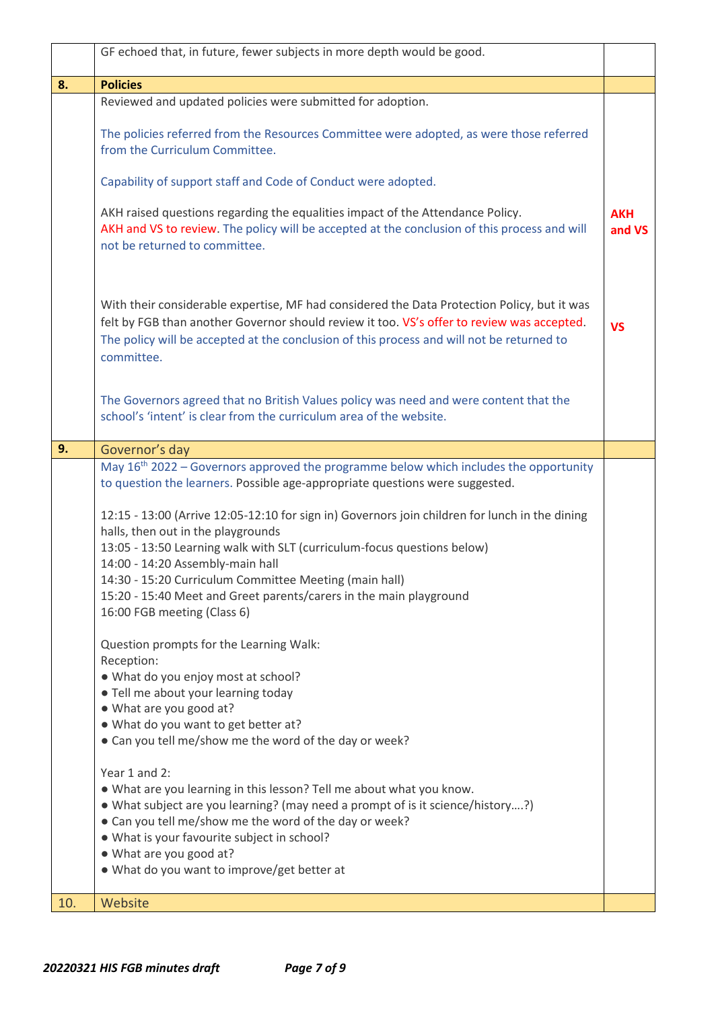|     | GF echoed that, in future, fewer subjects in more depth would be good.                                                                                                                                                                                                                                                                                                                                                                                                                                                                                                                                                                                                                                                                                                                                                                                                                                                                                                                                                                                                                                                                                                                                                                    |                      |
|-----|-------------------------------------------------------------------------------------------------------------------------------------------------------------------------------------------------------------------------------------------------------------------------------------------------------------------------------------------------------------------------------------------------------------------------------------------------------------------------------------------------------------------------------------------------------------------------------------------------------------------------------------------------------------------------------------------------------------------------------------------------------------------------------------------------------------------------------------------------------------------------------------------------------------------------------------------------------------------------------------------------------------------------------------------------------------------------------------------------------------------------------------------------------------------------------------------------------------------------------------------|----------------------|
| 8.  | <b>Policies</b>                                                                                                                                                                                                                                                                                                                                                                                                                                                                                                                                                                                                                                                                                                                                                                                                                                                                                                                                                                                                                                                                                                                                                                                                                           |                      |
|     | Reviewed and updated policies were submitted for adoption.                                                                                                                                                                                                                                                                                                                                                                                                                                                                                                                                                                                                                                                                                                                                                                                                                                                                                                                                                                                                                                                                                                                                                                                |                      |
|     | The policies referred from the Resources Committee were adopted, as were those referred<br>from the Curriculum Committee.                                                                                                                                                                                                                                                                                                                                                                                                                                                                                                                                                                                                                                                                                                                                                                                                                                                                                                                                                                                                                                                                                                                 |                      |
|     | Capability of support staff and Code of Conduct were adopted.                                                                                                                                                                                                                                                                                                                                                                                                                                                                                                                                                                                                                                                                                                                                                                                                                                                                                                                                                                                                                                                                                                                                                                             |                      |
|     | AKH raised questions regarding the equalities impact of the Attendance Policy.<br>AKH and VS to review. The policy will be accepted at the conclusion of this process and will<br>not be returned to committee.                                                                                                                                                                                                                                                                                                                                                                                                                                                                                                                                                                                                                                                                                                                                                                                                                                                                                                                                                                                                                           | <b>AKH</b><br>and VS |
|     | With their considerable expertise, MF had considered the Data Protection Policy, but it was<br>felt by FGB than another Governor should review it too. VS's offer to review was accepted.<br>The policy will be accepted at the conclusion of this process and will not be returned to<br>committee.                                                                                                                                                                                                                                                                                                                                                                                                                                                                                                                                                                                                                                                                                                                                                                                                                                                                                                                                      | <b>VS</b>            |
|     | The Governors agreed that no British Values policy was need and were content that the<br>school's 'intent' is clear from the curriculum area of the website.                                                                                                                                                                                                                                                                                                                                                                                                                                                                                                                                                                                                                                                                                                                                                                                                                                                                                                                                                                                                                                                                              |                      |
| 9.  | Governor's day                                                                                                                                                                                                                                                                                                                                                                                                                                                                                                                                                                                                                                                                                                                                                                                                                                                                                                                                                                                                                                                                                                                                                                                                                            |                      |
|     | May 16 <sup>th</sup> 2022 – Governors approved the programme below which includes the opportunity<br>to question the learners. Possible age-appropriate questions were suggested.<br>12:15 - 13:00 (Arrive 12:05-12:10 for sign in) Governors join children for lunch in the dining<br>halls, then out in the playgrounds<br>13:05 - 13:50 Learning walk with SLT (curriculum-focus questions below)<br>14:00 - 14:20 Assembly-main hall<br>14:30 - 15:20 Curriculum Committee Meeting (main hall)<br>15:20 - 15:40 Meet and Greet parents/carers in the main playground<br>16:00 FGB meeting (Class 6)<br>Question prompts for the Learning Walk:<br>Reception:<br>. What do you enjoy most at school?<br>. Tell me about your learning today<br>. What are you good at?<br>. What do you want to get better at?<br>• Can you tell me/show me the word of the day or week?<br>Year 1 and 2:<br>. What are you learning in this lesson? Tell me about what you know.<br>• What subject are you learning? (may need a prompt of is it science/history?)<br>• Can you tell me/show me the word of the day or week?<br>. What is your favourite subject in school?<br>. What are you good at?<br>. What do you want to improve/get better at |                      |
| 10. | Website                                                                                                                                                                                                                                                                                                                                                                                                                                                                                                                                                                                                                                                                                                                                                                                                                                                                                                                                                                                                                                                                                                                                                                                                                                   |                      |
|     |                                                                                                                                                                                                                                                                                                                                                                                                                                                                                                                                                                                                                                                                                                                                                                                                                                                                                                                                                                                                                                                                                                                                                                                                                                           |                      |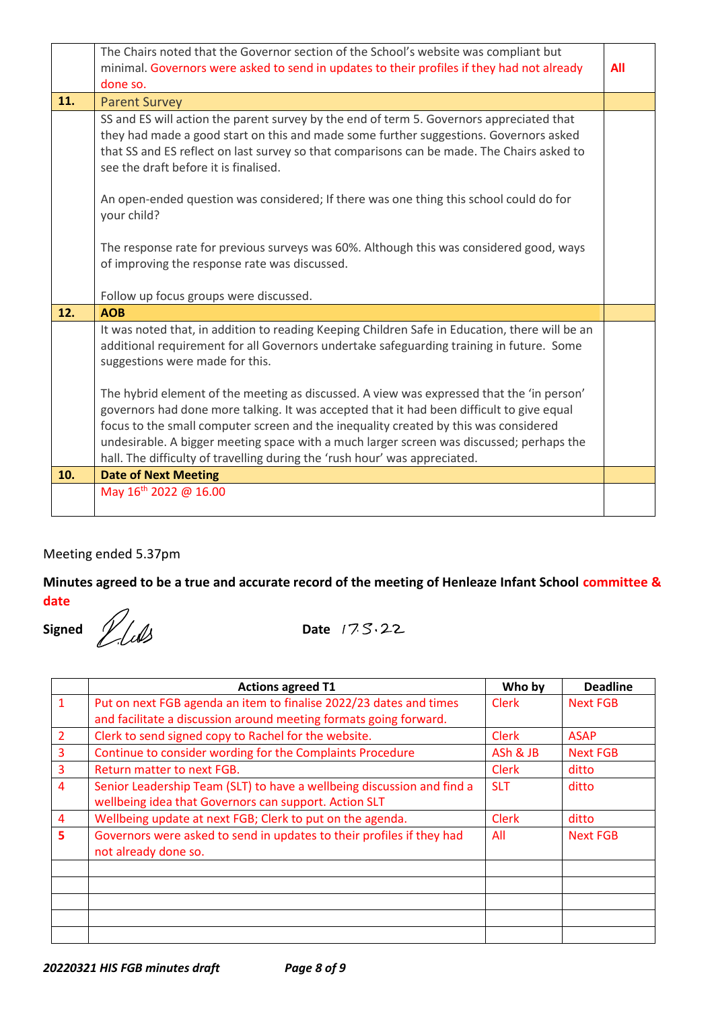|     | The Chairs noted that the Governor section of the School's website was compliant but<br>minimal. Governors were asked to send in updates to their profiles if they had not already<br>done so.                                                                                                                                                                                                                                                           | All |
|-----|----------------------------------------------------------------------------------------------------------------------------------------------------------------------------------------------------------------------------------------------------------------------------------------------------------------------------------------------------------------------------------------------------------------------------------------------------------|-----|
| 11. | <b>Parent Survey</b>                                                                                                                                                                                                                                                                                                                                                                                                                                     |     |
|     | SS and ES will action the parent survey by the end of term 5. Governors appreciated that<br>they had made a good start on this and made some further suggestions. Governors asked<br>that SS and ES reflect on last survey so that comparisons can be made. The Chairs asked to<br>see the draft before it is finalised.                                                                                                                                 |     |
|     | An open-ended question was considered; If there was one thing this school could do for<br>your child?                                                                                                                                                                                                                                                                                                                                                    |     |
|     | The response rate for previous surveys was 60%. Although this was considered good, ways<br>of improving the response rate was discussed.                                                                                                                                                                                                                                                                                                                 |     |
|     | Follow up focus groups were discussed.                                                                                                                                                                                                                                                                                                                                                                                                                   |     |
| 12. | <b>AOB</b>                                                                                                                                                                                                                                                                                                                                                                                                                                               |     |
|     | It was noted that, in addition to reading Keeping Children Safe in Education, there will be an<br>additional requirement for all Governors undertake safeguarding training in future. Some<br>suggestions were made for this.                                                                                                                                                                                                                            |     |
|     | The hybrid element of the meeting as discussed. A view was expressed that the 'in person'<br>governors had done more talking. It was accepted that it had been difficult to give equal<br>focus to the small computer screen and the inequality created by this was considered<br>undesirable. A bigger meeting space with a much larger screen was discussed; perhaps the<br>hall. The difficulty of travelling during the 'rush hour' was appreciated. |     |
| 10. | <b>Date of Next Meeting</b>                                                                                                                                                                                                                                                                                                                                                                                                                              |     |
|     | May 16 <sup>th</sup> 2022 @ 16.00                                                                                                                                                                                                                                                                                                                                                                                                                        |     |

### Meeting ended 5.37pm

### **Minutes agreed to be a true and accurate record of the meeting of Henleaze Infant School committee & date**

**Signed** *D.(1)* Date 17.5.22

|                | <b>Actions agreed T1</b>                                               | Who by       | <b>Deadline</b> |
|----------------|------------------------------------------------------------------------|--------------|-----------------|
| $\mathbf{1}$   | Put on next FGB agenda an item to finalise 2022/23 dates and times     | <b>Clerk</b> | Next FGB        |
|                | and facilitate a discussion around meeting formats going forward.      |              |                 |
| $\overline{2}$ | Clerk to send signed copy to Rachel for the website.                   | <b>Clerk</b> | <b>ASAP</b>     |
| $\overline{3}$ | Continue to consider wording for the Complaints Procedure              | ASh & JB     | Next FGB        |
| 3              | Return matter to next FGB.                                             | <b>Clerk</b> | ditto           |
| $\overline{4}$ | Senior Leadership Team (SLT) to have a wellbeing discussion and find a | <b>SLT</b>   | ditto           |
|                | wellbeing idea that Governors can support. Action SLT                  |              |                 |
| 4              | Wellbeing update at next FGB; Clerk to put on the agenda.              | <b>Clerk</b> | ditto           |
| 5              | Governors were asked to send in updates to their profiles if they had  | All          | Next FGB        |
|                | not already done so.                                                   |              |                 |
|                |                                                                        |              |                 |
|                |                                                                        |              |                 |
|                |                                                                        |              |                 |
|                |                                                                        |              |                 |
|                |                                                                        |              |                 |